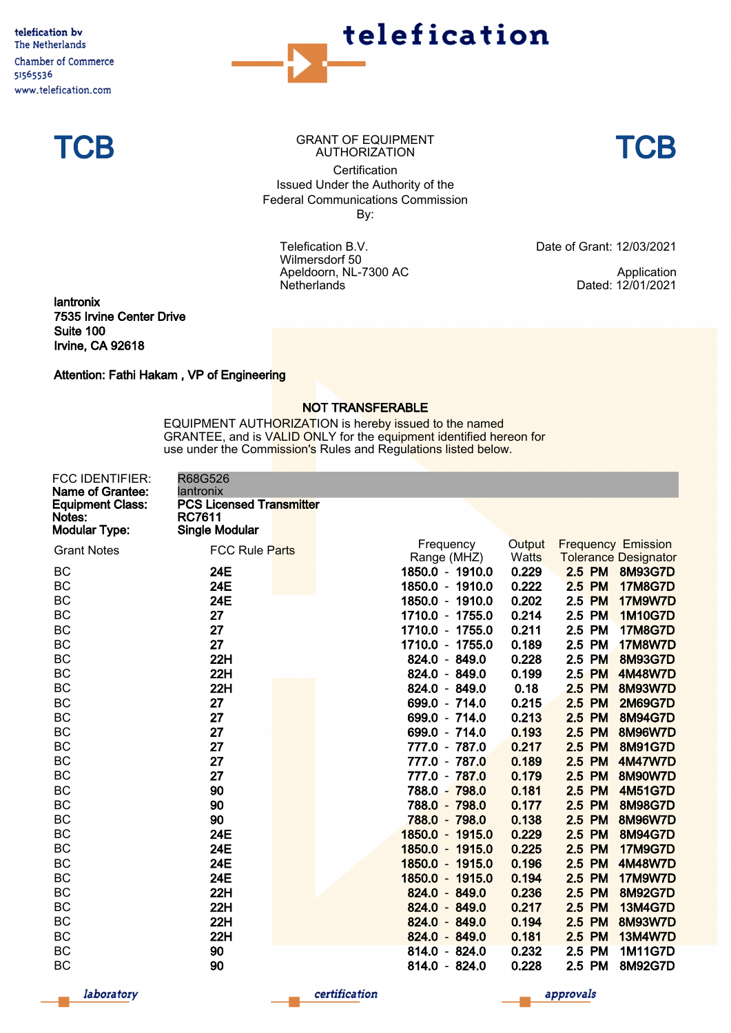telefication by The Netherlands Chamber of Commerce 51565536 www.telefication.com





TCB GRANT OF EQUIPMENT **TCB Certification** Issued Under the Authority of the Federal Communications Commission By:

> Telefication B.V. Wilmersdorf 50 Apeldoorn, NL-7300 AC **Netherlands**

Date of Grant: 12/03/2021

Application Dated: 12/01/2021

lantronix 7535 Irvine Center Drive Suite 100 Irvine, CA 92618

Attention: Fathi Hakam , VP of Engineering

## NOT TRANSFERABLE

EQUIPMENT AUTHORIZATION is hereby issued to the named GRANTEE, and is VALID ONLY for the equipment identified hereon for use under the Commission's Rules and Regulations listed below.

| FCC IDENTIFIER:<br>Name of Grantee:                       | R68G526<br>lantronix                                                      |                          |                        |        |                                                          |
|-----------------------------------------------------------|---------------------------------------------------------------------------|--------------------------|------------------------|--------|----------------------------------------------------------|
| <b>Equipment Class:</b><br>Notes:<br><b>Modular Type:</b> | <b>PCS Licensed Transmitter</b><br><b>RC7611</b><br><b>Single Modular</b> |                          |                        |        |                                                          |
| <b>Grant Notes</b>                                        | FCC Rule Parts                                                            | Frequency<br>Range (MHZ) | Output<br><b>Watts</b> |        | <b>Frequency Emission</b><br><b>Tolerance Designator</b> |
| BC                                                        | 24E                                                                       | 1850.0 - 1910.0          | 0.229                  | 2.5 PM | 8M93G7D                                                  |
| BC                                                        | 24E                                                                       | 1850.0 - 1910.0          | 0.222                  | 2.5 PM | <b>17M8G7D</b>                                           |
| <b>BC</b>                                                 | 24E                                                                       | 1850.0 - 1910.0          | 0.202                  | 2.5 PM | <b>17M9W7D</b>                                           |
| BC                                                        | 27                                                                        | 1710.0 - 1755.0          | 0.214                  | 2.5 PM | <b>1M10G7D</b>                                           |
| <b>BC</b>                                                 | 27                                                                        | 1710.0 - 1755.0          | 0.211                  | 2.5 PM | <b>17M8G7D</b>                                           |
| BC                                                        | 27                                                                        | 1710.0 - 1755.0          | 0.189                  | 2.5 PM | <b>17M8W7D</b>                                           |
| <b>BC</b>                                                 | 22H                                                                       | 824.0 - 849.0            | 0.228                  | 2.5 PM | <b>8M93G7D</b>                                           |
| BC                                                        | 22H                                                                       | 824.0 - 849.0            | 0.199                  | 2.5 PM | 4M48W7D                                                  |
| <b>BC</b>                                                 | 22H                                                                       | 824.0 - 849.0            | 0.18                   | 2.5 PM | <b>8M93W7D</b>                                           |
| <b>BC</b>                                                 | 27                                                                        | 699.0 - 714.0            | 0.215                  | 2.5 PM | <b>2M69G7D</b>                                           |
| <b>BC</b>                                                 | 27                                                                        | 699.0 - 714.0            | 0.213                  | 2.5 PM | 8M94G7D                                                  |
| BC                                                        | 27                                                                        | 699.0 - 714.0            | 0.193                  | 2.5 PM | <b>8M96W7D</b>                                           |
| <b>BC</b>                                                 | 27                                                                        | 777.0 - 787.0            | 0.217                  | 2.5 PM | 8M91G7D                                                  |
| <b>BC</b>                                                 | 27                                                                        | 777.0 - 787.0            | 0.189                  | 2.5 PM | <b>4M47W7D</b>                                           |
| BC                                                        | 27                                                                        | 777.0 - 787.0            | 0.179                  | 2.5 PM | <b>8M90W7D</b>                                           |
| <b>BC</b>                                                 | 90                                                                        | 788.0 - 798.0            | 0.181                  | 2.5 PM | <b>4M51G7D</b>                                           |
| BC                                                        | 90                                                                        | 788.0 - 798.0            | 0.177                  | 2.5 PM | <b>8M98G7D</b>                                           |
| <b>BC</b>                                                 | 90                                                                        | 788.0 - 798.0            | 0.138                  | 2.5 PM | <b>8M96W7D</b>                                           |
| <b>BC</b>                                                 | <b>24E</b>                                                                | 1850.0 - 1915.0          | 0.229                  | 2.5 PM | 8M94G7D                                                  |
| BC                                                        | 24E                                                                       | 1850.0 - 1915.0          | 0.225                  | 2.5 PM | <b>17M9G7D</b>                                           |
| <b>BC</b>                                                 | <b>24E</b>                                                                | 1850.0 - 1915.0          | 0.196                  | 2.5 PM | <b>4M48W7D</b>                                           |
| <b>BC</b>                                                 | 24E                                                                       | 1850.0 - 1915.0          | 0.194                  | 2.5 PM | <b>17M9W7D</b>                                           |
| BC                                                        | 22H                                                                       | 824.0 - 849.0            | 0.236                  | 2.5 PM | <b>8M92G7D</b>                                           |
| <b>BC</b>                                                 | 22H                                                                       | 824.0 - 849.0            | 0.217                  | 2.5 PM | <b>13M4G7D</b>                                           |
| BC                                                        | 22H                                                                       | 824.0 - 849.0            | 0.194                  | 2.5 PM | <b>8M93W7D</b>                                           |
| <b>BC</b>                                                 | 22H                                                                       | 824.0 - 849.0            | 0.181                  | 2.5 PM | <b>13M4W7D</b>                                           |
| BC                                                        | 90                                                                        | 814.0 - 824.0            | 0.232                  | 2.5 PM | <b>1M11G7D</b>                                           |
| <b>BC</b>                                                 | 90                                                                        | 814.0 - 824.0            | 0.228                  | 2.5 PM | 8M92G7D                                                  |